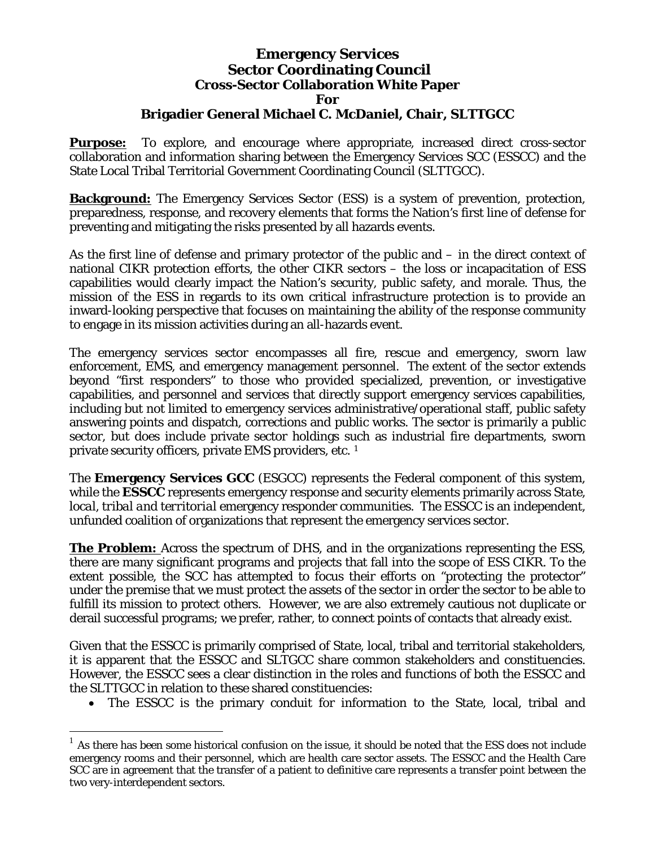## **Emergency Services Sector Coordinating Council Cross-Sector Collaboration White Paper For Brigadier General Michael C. McDaniel, Chair, SLTTGCC**

**Purpose:** To explore, and encourage where appropriate, increased direct cross-sector collaboration and information sharing between the Emergency Services SCC (ESSCC) and the State Local Tribal Territorial Government Coordinating Council (SLTTGCC).

**Background:** The Emergency Services Sector (ESS) is a system of prevention, protection, preparedness, response, and recovery elements that forms the Nation's first line of defense for preventing and mitigating the risks presented by all hazards events.

As the first line of defense and primary protector of the public and – in the direct context of national CIKR protection efforts, the other CIKR sectors – the loss or incapacitation of ESS capabilities would clearly impact the Nation's security, public safety, and morale. Thus, the mission of the ESS in regards to its own critical infrastructure protection is to provide an inward-looking perspective that focuses on maintaining the ability of the response community to engage in its mission activities during an all-hazards event.

The emergency services sector encompasses all fire, rescue and emergency, sworn law enforcement, EMS, and emergency management personnel. The extent of the sector extends beyond "first responders" to those who provided specialized, prevention, or investigative capabilities, and personnel and services that directly support emergency services capabilities, including but not limited to emergency services administrative/operational staff, public safety answering points and dispatch, corrections and public works. The sector is primarily a public sector, but does include private sector holdings such as industrial fire departments, sworn private security officers, private EMS providers, etc. [1](#page-0-0)

The **Emergency Services GCC** (ESGCC) represents the Federal component of this system, while the **ESSCC** represents emergency response and security elements primarily across *State, local, tribal and territorial* emergency responder communities. The ESSCC is an independent, unfunded coalition of organizations that represent the emergency services sector.

**The Problem:** Across the spectrum of DHS, and in the organizations representing the ESS, there are many significant programs and projects that fall into the scope of ESS CIKR. To the extent possible, the SCC has attempted to focus their efforts on "protecting the protector" under the premise that we must protect the assets of the sector in order the sector to be able to fulfill its mission to protect others. However, we are also extremely cautious not duplicate or derail successful programs; we prefer, rather, to connect points of contacts that already exist.

Given that the ESSCC is primarily comprised of State, local, tribal and territorial stakeholders, it is apparent that the ESSCC and SLTGCC share common stakeholders and constituencies. However, the ESSCC sees a clear distinction in the roles and functions of both the ESSCC and the SLTTGCC in relation to these shared constituencies:

• The ESSCC is the primary conduit for information to the State, local, tribal and

 $\overline{a}$ 

<span id="page-0-0"></span><sup>1</sup> As there has been some historical confusion on the issue, it should be noted that the ESS *does not* include emergency rooms and their personnel, which are health care sector assets. The ESSCC and the Health Care SCC are in agreement that the transfer of a patient to definitive care represents a transfer point between the two very-interdependent sectors.